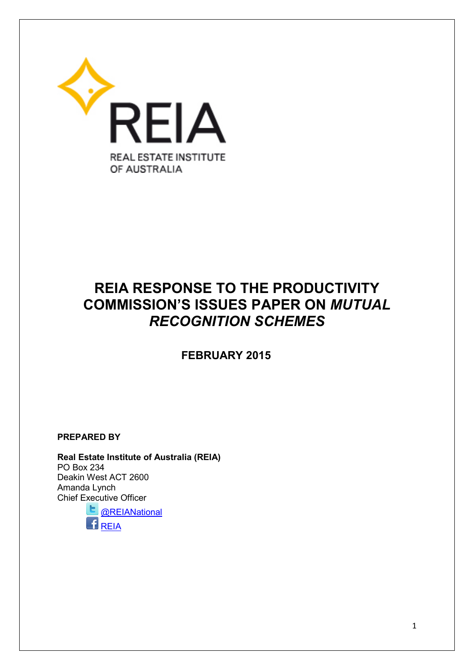

# **REIA RESPONSE TO THE PRODUCTIVITY COMMISSION'S ISSUES PAPER ON** *MUTUAL RECOGNITION SCHEMES*

 **FEBRUARY 2015**

**PREPARED BY**

**Real Estate Institute of Australia (REIA)**  PO Box 234 Deakin West ACT 2600 Amanda Lynch Chief [Exec](https://twitter.com/REIANational)utive Officer **L** [@REIANational](https://twitter.com/REIANational)

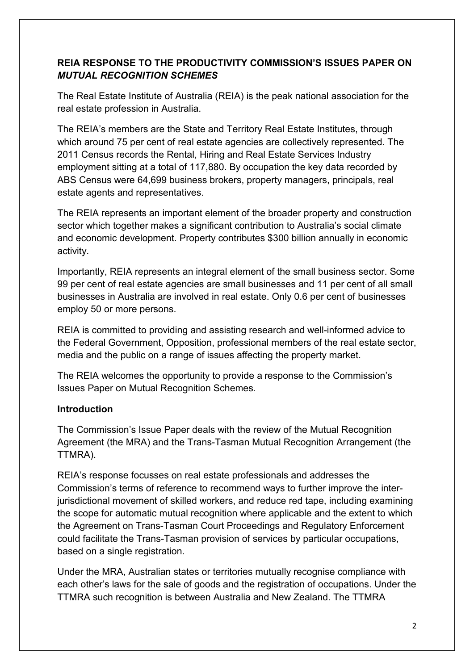## **REIA RESPONSE TO THE PRODUCTIVITY COMMISSION'S ISSUES PAPER ON**  *MUTUAL RECOGNITION SCHEMES*

The Real Estate Institute of Australia (REIA) is the peak national association for the real estate profession in Australia.

The REIA's members are the State and Territory Real Estate Institutes, through which around 75 per cent of real estate agencies are collectively represented. The 2011 Census records the Rental, Hiring and Real Estate Services Industry employment sitting at a total of 117,880. By occupation the key data recorded by ABS Census were 64,699 business brokers, property managers, principals, real estate agents and representatives.

The REIA represents an important element of the broader property and construction sector which together makes a significant contribution to Australia's social climate and economic development. Property contributes \$300 billion annually in economic activity.

Importantly, REIA represents an integral element of the small business sector. Some 99 per cent of real estate agencies are small businesses and 11 per cent of all small businesses in Australia are involved in real estate. Only 0.6 per cent of businesses employ 50 or more persons.

REIA is committed to providing and assisting research and well-informed advice to the Federal Government, Opposition, professional members of the real estate sector, media and the public on a range of issues affecting the property market.

The REIA welcomes the opportunity to provide a response to the Commission's Issues Paper on Mutual Recognition Schemes.

## **Introduction**

The Commission's Issue Paper deals with the review of the Mutual Recognition Agreement (the MRA) and the Trans-Tasman Mutual Recognition Arrangement (the TTMRA).

REIA's response focusses on real estate professionals and addresses the Commission's terms of reference to recommend ways to further improve the interjurisdictional movement of skilled workers, and reduce red tape, including examining the scope for automatic mutual recognition where applicable and the extent to which the Agreement on Trans-Tasman Court Proceedings and Regulatory Enforcement could facilitate the Trans-Tasman provision of services by particular occupations, based on a single registration.

Under the MRA, Australian states or territories mutually recognise compliance with each other's laws for the sale of goods and the registration of occupations. Under the TTMRA such recognition is between Australia and New Zealand. The TTMRA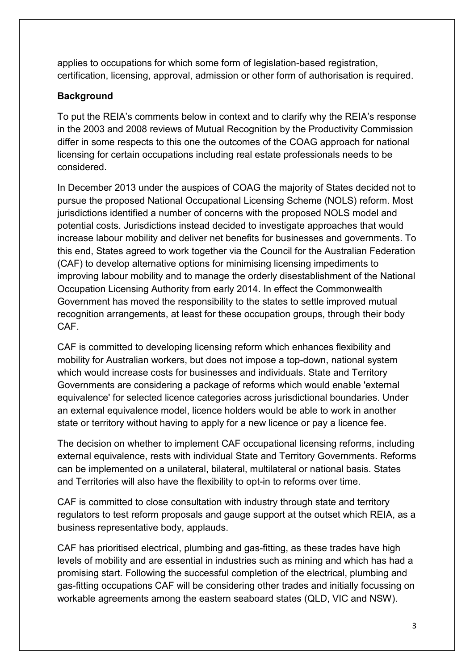applies to occupations for which some form of legislation-based registration, certification, licensing, approval, admission or other form of authorisation is required.

## **Background**

To put the REIA's comments below in context and to clarify why the REIA's response in the 2003 and 2008 reviews of Mutual Recognition by the Productivity Commission differ in some respects to this one the outcomes of the COAG approach for national licensing for certain occupations including real estate professionals needs to be considered.

In December 2013 under the auspices of COAG the majority of States decided not to pursue the proposed National Occupational Licensing Scheme (NOLS) reform. Most jurisdictions identified a number of concerns with the proposed NOLS model and potential costs. Jurisdictions instead decided to investigate approaches that would increase labour mobility and deliver net benefits for businesses and governments. To this end, States agreed to work together via the Council for the Australian Federation (CAF) to develop alternative options for minimising licensing impediments to improving labour mobility and to manage the orderly disestablishment of the National Occupation Licensing Authority from early 2014. In effect the Commonwealth Government has moved the responsibility to the states to settle improved mutual recognition arrangements, at least for these occupation groups, through their body CAF.

CAF is committed to developing licensing reform which enhances flexibility and mobility for Australian workers, but does not impose a top-down, national system which would increase costs for businesses and individuals. State and Territory Governments are considering a package of reforms which would enable 'external equivalence' for selected licence categories across jurisdictional boundaries. Under an external equivalence model, licence holders would be able to work in another state or territory without having to apply for a new licence or pay a licence fee.

The decision on whether to implement CAF occupational licensing reforms, including external equivalence, rests with individual State and Territory Governments. Reforms can be implemented on a unilateral, bilateral, multilateral or national basis. States and Territories will also have the flexibility to opt-in to reforms over time.

CAF is committed to close consultation with industry through state and territory regulators to test reform proposals and gauge support at the outset which REIA, as a business representative body, applauds.

CAF has prioritised electrical, plumbing and gas-fitting, as these trades have high levels of mobility and are essential in industries such as mining and which has had a promising start. Following the successful completion of the electrical, plumbing and gas-fitting occupations CAF will be considering other trades and initially focussing on workable agreements among the eastern seaboard states (QLD, VIC and NSW).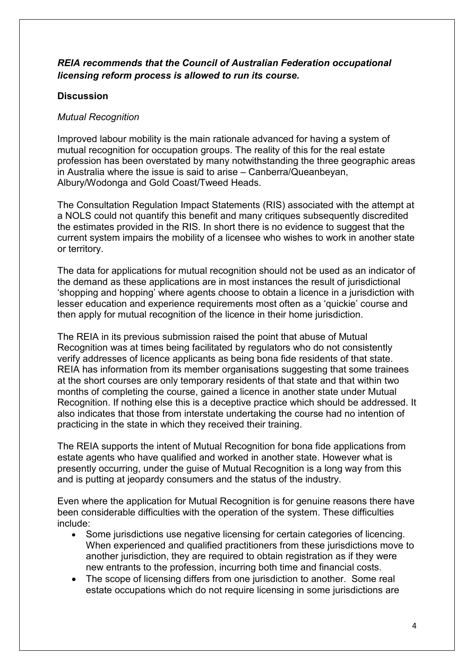## *REIA recommends that the Council of Australian Federation occupational licensing reform process is allowed to run its course.*

## **Discussion**

#### *Mutual Recognition*

Improved labour mobility is the main rationale advanced for having a system of mutual recognition for occupation groups. The reality of this for the real estate profession has been overstated by many notwithstanding the three geographic areas in Australia where the issue is said to arise – Canberra/Queanbeyan, Albury/Wodonga and Gold Coast/Tweed Heads.

The Consultation Regulation Impact Statements (RIS) associated with the attempt at a NOLS could not quantify this benefit and many critiques subsequently discredited the estimates provided in the RIS. In short there is no evidence to suggest that the current system impairs the mobility of a licensee who wishes to work in another state or territory.

The data for applications for mutual recognition should not be used as an indicator of the demand as these applications are in most instances the result of jurisdictional 'shopping and hopping' where agents choose to obtain a licence in a jurisdiction with lesser education and experience requirements most often as a 'quickie' course and then apply for mutual recognition of the licence in their home jurisdiction.

The REIA in its previous submission raised the point that abuse of Mutual Recognition was at times being facilitated by regulators who do not consistently verify addresses of licence applicants as being bona fide residents of that state. REIA has information from its member organisations suggesting that some trainees at the short courses are only temporary residents of that state and that within two months of completing the course, gained a licence in another state under Mutual Recognition. If nothing else this is a deceptive practice which should be addressed. It also indicates that those from interstate undertaking the course had no intention of practicing in the state in which they received their training.

The REIA supports the intent of Mutual Recognition for bona fide applications from estate agents who have qualified and worked in another state. However what is presently occurring, under the guise of Mutual Recognition is a long way from this and is putting at jeopardy consumers and the status of the industry.

Even where the application for Mutual Recognition is for genuine reasons there have been considerable difficulties with the operation of the system. These difficulties include:

- Some jurisdictions use negative licensing for certain categories of licencing. When experienced and qualified practitioners from these jurisdictions move to another jurisdiction, they are required to obtain registration as if they were new entrants to the profession, incurring both time and financial costs.
- The scope of licensing differs from one jurisdiction to another. Some real estate occupations which do not require licensing in some jurisdictions are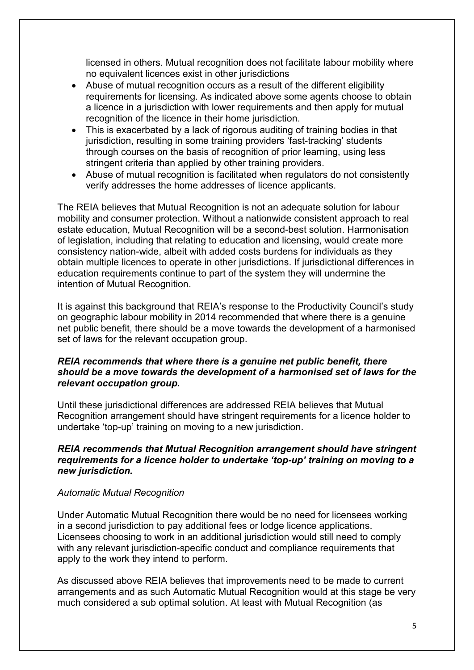licensed in others. Mutual recognition does not facilitate labour mobility where no equivalent licences exist in other jurisdictions

- Abuse of mutual recognition occurs as a result of the different eligibility requirements for licensing. As indicated above some agents choose to obtain a licence in a jurisdiction with lower requirements and then apply for mutual recognition of the licence in their home jurisdiction.
- This is exacerbated by a lack of rigorous auditing of training bodies in that jurisdiction, resulting in some training providers 'fast-tracking' students through courses on the basis of recognition of prior learning, using less stringent criteria than applied by other training providers.
- Abuse of mutual recognition is facilitated when regulators do not consistently verify addresses the home addresses of licence applicants.

The REIA believes that Mutual Recognition is not an adequate solution for labour mobility and consumer protection. Without a nationwide consistent approach to real estate education, Mutual Recognition will be a second-best solution. Harmonisation of legislation, including that relating to education and licensing, would create more consistency nation-wide, albeit with added costs burdens for individuals as they obtain multiple licences to operate in other jurisdictions. If jurisdictional differences in education requirements continue to part of the system they will undermine the intention of Mutual Recognition.

It is against this background that REIA's response to the Productivity Council's study on geographic labour mobility in 2014 recommended that where there is a genuine net public benefit, there should be a move towards the development of a harmonised set of laws for the relevant occupation group.

#### *REIA recommends that where there is a genuine net public benefit, there should be a move towards the development of a harmonised set of laws for the relevant occupation group.*

Until these jurisdictional differences are addressed REIA believes that Mutual Recognition arrangement should have stringent requirements for a licence holder to undertake 'top-up' training on moving to a new jurisdiction.

### *REIA recommends that Mutual Recognition arrangement should have stringent requirements for a licence holder to undertake 'top-up' training on moving to a new jurisdiction.*

#### *Automatic Mutual Recognition*

Under Automatic Mutual Recognition there would be no need for licensees working in a second jurisdiction to pay additional fees or lodge licence applications. Licensees choosing to work in an additional jurisdiction would still need to comply with any relevant jurisdiction-specific conduct and compliance requirements that apply to the work they intend to perform.

As discussed above REIA believes that improvements need to be made to current arrangements and as such Automatic Mutual Recognition would at this stage be very much considered a sub optimal solution. At least with Mutual Recognition (as